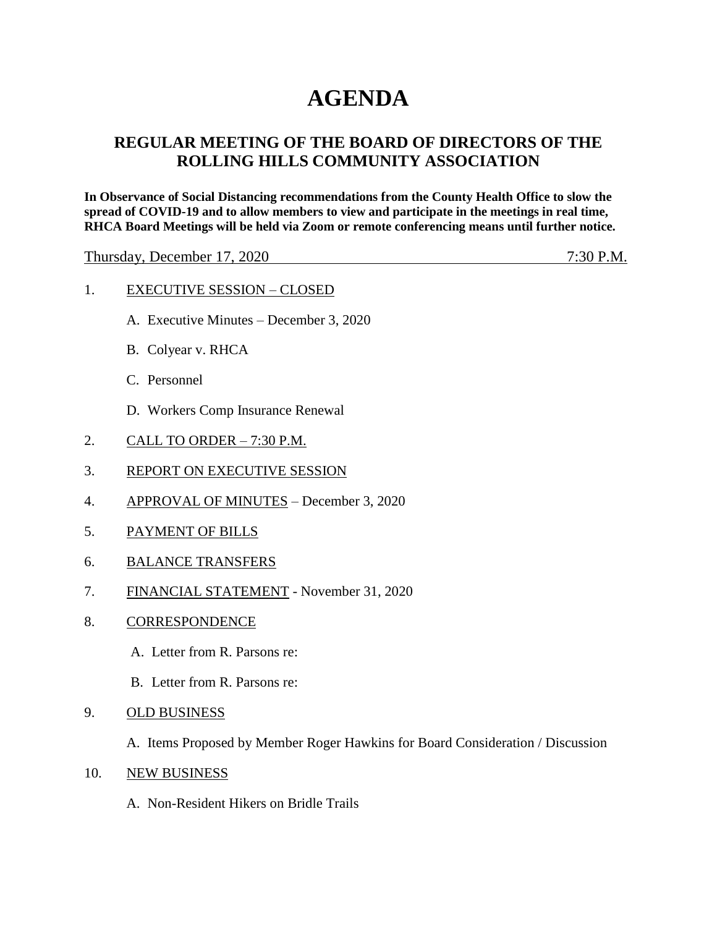# **AGENDA**

## **REGULAR MEETING OF THE BOARD OF DIRECTORS OF THE ROLLING HILLS COMMUNITY ASSOCIATION**

**In Observance of Social Distancing recommendations from the County Health Office to slow the spread of COVID-19 and to allow members to view and participate in the meetings in real time, RHCA Board Meetings will be held via Zoom or remote conferencing means until further notice.** 

Thursday, December 17, 2020 7:30 P.M.

#### 1. EXECUTIVE SESSION – CLOSED

- A. Executive Minutes December 3, 2020
- B. Colyear v. RHCA
- C. Personnel
- D. Workers Comp Insurance Renewal
- 2. CALL TO ORDER 7:30 P.M.
- 3. REPORT ON EXECUTIVE SESSION
- 4. APPROVAL OF MINUTES December 3, 2020
- 5. PAYMENT OF BILLS
- 6. BALANCE TRANSFERS
- 7. FINANCIAL STATEMENT November 31, 2020
- 8. CORRESPONDENCE
	- A. Letter from R. Parsons re:
	- B. Letter from R. Parsons re:
- 9. OLD BUSINESS

A. Items Proposed by Member Roger Hawkins for Board Consideration / Discussion

- 10. NEW BUSINESS
	- A. Non-Resident Hikers on Bridle Trails